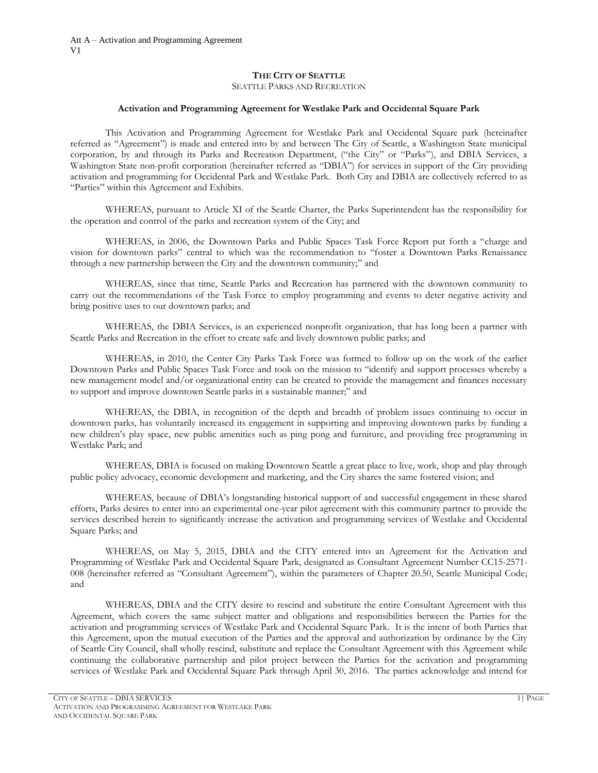# **THE CITY OF SEATTLE**

SEATTLE PARKS AND RECREATION

#### **Activation and Programming Agreement for Westlake Park and Occidental Square Park**

This Activation and Programming Agreement for Westlake Park and Occidental Square park (hereinafter referred as "Agreement") is made and entered into by and between The City of Seattle, a Washington State municipal corporation, by and through its Parks and Recreation Department, ("the City" or "Parks"), and DBIA Services, a Washington State non-profit corporation (hereinafter referred as "DBIA") for services in support of the City providing activation and programming for Occidental Park and Westlake Park. Both City and DBIA are collectively referred to as "Parties" within this Agreement and Exhibits.

WHEREAS, pursuant to Article XI of the Seattle Charter, the Parks Superintendent has the responsibility for the operation and control of the parks and recreation system of the City; and

WHEREAS, in 2006, the Downtown Parks and Public Spaces Task Force Report put forth a "charge and vision for downtown parks" central to which was the recommendation to "foster a Downtown Parks Renaissance through a new partnership between the City and the downtown community;" and

WHEREAS, since that time, Seattle Parks and Recreation has partnered with the downtown community to carry out the recommendations of the Task Force to employ programming and events to deter negative activity and bring positive uses to our downtown parks; and

WHEREAS, the DBIA Services, is an experienced nonprofit organization, that has long been a partner with Seattle Parks and Recreation in the effort to create safe and lively downtown public parks; and

WHEREAS, in 2010, the Center City Parks Task Force was formed to follow up on the work of the earlier Downtown Parks and Public Spaces Task Force and took on the mission to "identify and support processes whereby a new management model and/or organizational entity can be created to provide the management and finances necessary to support and improve downtown Seattle parks in a sustainable manner;" and

WHEREAS, the DBIA, in recognition of the depth and breadth of problem issues continuing to occur in downtown parks, has voluntarily increased its engagement in supporting and improving downtown parks by funding a new children's play space, new public amenities such as ping pong and furniture, and providing free programming in Westlake Park; and

WHEREAS, DBIA is focused on making Downtown Seattle a great place to live, work, shop and play through public policy advocacy, economic development and marketing, and the City shares the same fostered vision; and

WHEREAS, because of DBIA's longstanding historical support of and successful engagement in these shared efforts, Parks desires to enter into an experimental one-year pilot agreement with this community partner to provide the services described herein to significantly increase the activation and programming services of Westlake and Occidental Square Parks; and

WHEREAS, on May 5, 2015, DBIA and the CITY entered into an Agreement for the Activation and Programming of Westlake Park and Occidental Square Park, designated as Consultant Agreement Number CC15-2571- 008 (hereinafter referred as "Consultant Agreement"), within the parameters of Chapter 20.50, Seattle Municipal Code; and

WHEREAS, DBIA and the CITY desire to rescind and substitute the entire Consultant Agreement with this Agreement, which covers the same subject matter and obligations and responsibilities between the Parties for the activation and programming services of Westlake Park and Occidental Square Park. It is the intent of both Parties that this Agreement, upon the mutual execution of the Parties and the approval and authorization by ordinance by the City of Seattle City Council, shall wholly rescind, substitute and replace the Consultant Agreement with this Agreement while continuing the collaborative partnership and pilot project between the Parties for the activation and programming services of Westlake Park and Occidental Square Park through April 30, 2016. The parties acknowledge and intend for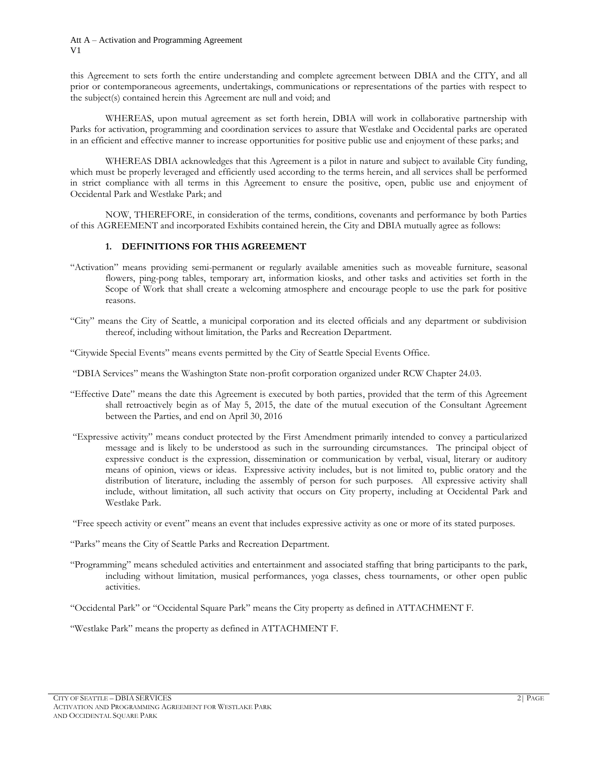this Agreement to sets forth the entire understanding and complete agreement between DBIA and the CITY, and all prior or contemporaneous agreements, undertakings, communications or representations of the parties with respect to the subject(s) contained herein this Agreement are null and void; and

WHEREAS, upon mutual agreement as set forth herein, DBIA will work in collaborative partnership with Parks for activation, programming and coordination services to assure that Westlake and Occidental parks are operated in an efficient and effective manner to increase opportunities for positive public use and enjoyment of these parks; and

WHEREAS DBIA acknowledges that this Agreement is a pilot in nature and subject to available City funding, which must be properly leveraged and efficiently used according to the terms herein, and all services shall be performed in strict compliance with all terms in this Agreement to ensure the positive, open, public use and enjoyment of Occidental Park and Westlake Park; and

NOW, THEREFORE, in consideration of the terms, conditions, covenants and performance by both Parties of this AGREEMENT and incorporated Exhibits contained herein, the City and DBIA mutually agree as follows:

# **1. DEFINITIONS FOR THIS AGREEMENT**

- "Activation" means providing semi-permanent or regularly available amenities such as moveable furniture, seasonal flowers, ping-pong tables, temporary art, information kiosks, and other tasks and activities set forth in the Scope of Work that shall create a welcoming atmosphere and encourage people to use the park for positive reasons.
- "City" means the City of Seattle, a municipal corporation and its elected officials and any department or subdivision thereof, including without limitation, the Parks and Recreation Department.
- "Citywide Special Events" means events permitted by the City of Seattle Special Events Office.
- "DBIA Services" means the Washington State non-profit corporation organized under RCW Chapter 24.03.
- "Effective Date" means the date this Agreement is executed by both parties, provided that the term of this Agreement shall retroactively begin as of May 5, 2015, the date of the mutual execution of the Consultant Agreement between the Parties, and end on April 30, 2016
- "Expressive activity" means conduct protected by the First Amendment primarily intended to convey a particularized message and is likely to be understood as such in the surrounding circumstances. The principal object of expressive conduct is the expression, dissemination or communication by verbal, visual, literary or auditory means of opinion, views or ideas. Expressive activity includes, but is not limited to, public oratory and the distribution of literature, including the assembly of person for such purposes. All expressive activity shall include, without limitation, all such activity that occurs on City property, including at Occidental Park and Westlake Park.
- "Free speech activity or event" means an event that includes expressive activity as one or more of its stated purposes.
- "Parks" means the City of Seattle Parks and Recreation Department.
- "Programming" means scheduled activities and entertainment and associated staffing that bring participants to the park, including without limitation, musical performances, yoga classes, chess tournaments, or other open public activities.
- "Occidental Park" or "Occidental Square Park" means the City property as defined in ATTACHMENT F.

"Westlake Park" means the property as defined in ATTACHMENT F.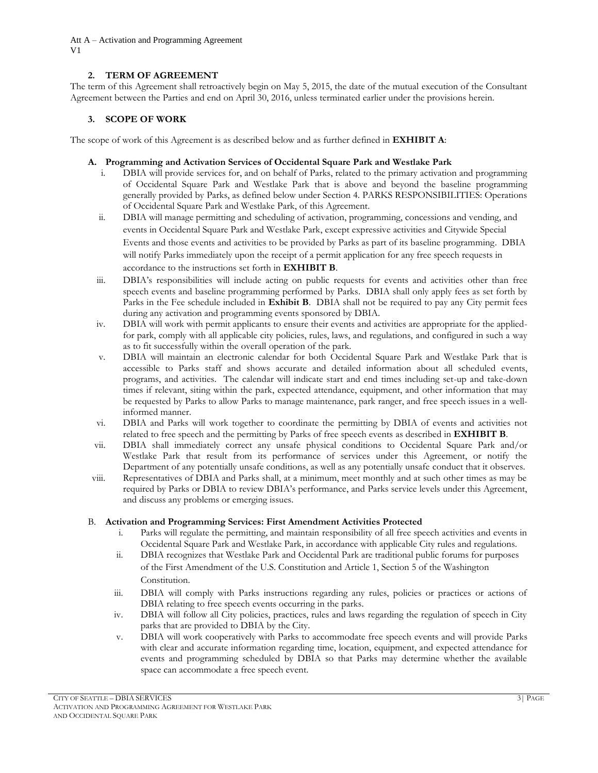Att A – Activation and Programming Agreement V1

# **2. TERM OF AGREEMENT**

The term of this Agreement shall retroactively begin on May 5, 2015, the date of the mutual execution of the Consultant Agreement between the Parties and end on April 30, 2016, unless terminated earlier under the provisions herein.

# **3. SCOPE OF WORK**

The scope of work of this Agreement is as described below and as further defined in **EXHIBIT A**:

# **A. Programming and Activation Services of Occidental Square Park and Westlake Park**

- i. DBIA will provide services for, and on behalf of Parks, related to the primary activation and programming of Occidental Square Park and Westlake Park that is above and beyond the baseline programming generally provided by Parks, as defined below under Section 4. PARKS RESPONSIBILITIES: Operations of Occidental Square Park and Westlake Park, of this Agreement.
- ii. DBIA will manage permitting and scheduling of activation, programming, concessions and vending, and events in Occidental Square Park and Westlake Park, except expressive activities and Citywide Special Events and those events and activities to be provided by Parks as part of its baseline programming. DBIA will notify Parks immediately upon the receipt of a permit application for any free speech requests in accordance to the instructions set forth in **EXHIBIT B**.
- iii. DBIA's responsibilities will include acting on public requests for events and activities other than free speech events and baseline programming performed by Parks. DBIA shall only apply fees as set forth by Parks in the Fee schedule included in **Exhibit B**. DBIA shall not be required to pay any City permit fees during any activation and programming events sponsored by DBIA.
- iv. DBIA will work with permit applicants to ensure their events and activities are appropriate for the appliedfor park, comply with all applicable city policies, rules, laws, and regulations, and configured in such a way as to fit successfully within the overall operation of the park.
- v. DBIA will maintain an electronic calendar for both Occidental Square Park and Westlake Park that is accessible to Parks staff and shows accurate and detailed information about all scheduled events, programs, and activities. The calendar will indicate start and end times including set-up and take-down times if relevant, siting within the park, expected attendance, equipment, and other information that may be requested by Parks to allow Parks to manage maintenance, park ranger, and free speech issues in a wellinformed manner.
- vi. DBIA and Parks will work together to coordinate the permitting by DBIA of events and activities not related to free speech and the permitting by Parks of free speech events as described in **EXHIBIT B**.
- vii. DBIA shall immediately correct any unsafe physical conditions to Occidental Square Park and/or Westlake Park that result from its performance of services under this Agreement, or notify the Department of any potentially unsafe conditions, as well as any potentially unsafe conduct that it observes.
- viii. Representatives of DBIA and Parks shall, at a minimum, meet monthly and at such other times as may be required by Parks or DBIA to review DBIA's performance, and Parks service levels under this Agreement, and discuss any problems or emerging issues.

# B. **Activation and Programming Services: First Amendment Activities Protected**

- i. Parks will regulate the permitting, and maintain responsibility of all free speech activities and events in Occidental Square Park and Westlake Park, in accordance with applicable City rules and regulations.
- ii. DBIA recognizes that Westlake Park and Occidental Park are traditional public forums for purposes of the First Amendment of the U.S. Constitution and Article 1, Section 5 of the Washington Constitution.
- iii. DBIA will comply with Parks instructions regarding any rules, policies or practices or actions of DBIA relating to free speech events occurring in the parks.
- iv. DBIA will follow all City policies, practices, rules and laws regarding the regulation of speech in City parks that are provided to DBIA by the City.
- v. DBIA will work cooperatively with Parks to accommodate free speech events and will provide Parks with clear and accurate information regarding time, location, equipment, and expected attendance for events and programming scheduled by DBIA so that Parks may determine whether the available space can accommodate a free speech event.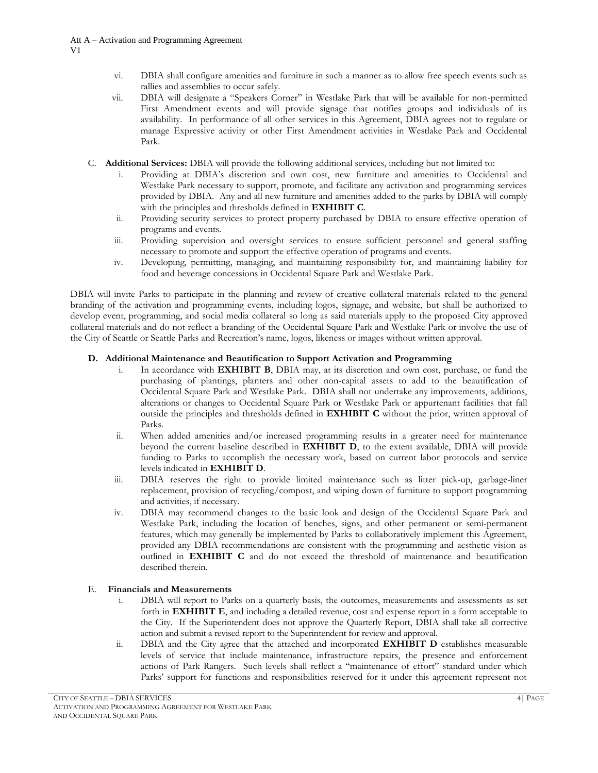- vi. DBIA shall configure amenities and furniture in such a manner as to allow free speech events such as rallies and assemblies to occur safely.
- vii. DBIA will designate a "Speakers Corner" in Westlake Park that will be available for non-permitted First Amendment events and will provide signage that notifies groups and individuals of its availability. In performance of all other services in this Agreement, DBIA agrees not to regulate or manage Expressive activity or other First Amendment activities in Westlake Park and Occidental Park.
- C. **Additional Services:** DBIA will provide the following additional services, including but not limited to:
	- Providing at DBIA's discretion and own cost, new furniture and amenities to Occidental and Westlake Park necessary to support, promote, and facilitate any activation and programming services provided by DBIA. Any and all new furniture and amenities added to the parks by DBIA will comply with the principles and thresholds defined in **EXHIBIT C**.
	- ii. Providing security services to protect property purchased by DBIA to ensure effective operation of programs and events.
	- iii. Providing supervision and oversight services to ensure sufficient personnel and general staffing necessary to promote and support the effective operation of programs and events.
	- iv. Developing, permitting, managing, and maintaining responsibility for, and maintaining liability for food and beverage concessions in Occidental Square Park and Westlake Park.

DBIA will invite Parks to participate in the planning and review of creative collateral materials related to the general branding of the activation and programming events, including logos, signage, and website, but shall be authorized to develop event, programming, and social media collateral so long as said materials apply to the proposed City approved collateral materials and do not reflect a branding of the Occidental Square Park and Westlake Park or involve the use of the City of Seattle or Seattle Parks and Recreation's name, logos, likeness or images without written approval.

# **D. Additional Maintenance and Beautification to Support Activation and Programming**

- i. In accordance with **EXHIBIT B**, DBIA may, at its discretion and own cost, purchase, or fund the purchasing of plantings, planters and other non-capital assets to add to the beautification of Occidental Square Park and Westlake Park. DBIA shall not undertake any improvements, additions, alterations or changes to Occidental Square Park or Westlake Park or appurtenant facilities that fall outside the principles and thresholds defined in **EXHIBIT C** without the prior, written approval of Parks.
- ii. When added amenities and/or increased programming results in a greater need for maintenance beyond the current baseline described in **EXHIBIT D**, to the extent available, DBIA will provide funding to Parks to accomplish the necessary work, based on current labor protocols and service levels indicated in **EXHIBIT D**.
- iii. DBIA reserves the right to provide limited maintenance such as litter pick-up, garbage-liner replacement, provision of recycling/compost, and wiping down of furniture to support programming and activities, if necessary.
- iv. DBIA may recommend changes to the basic look and design of the Occidental Square Park and Westlake Park, including the location of benches, signs, and other permanent or semi-permanent features, which may generally be implemented by Parks to collaboratively implement this Agreement, provided any DBIA recommendations are consistent with the programming and aesthetic vision as outlined in **EXHIBIT C** and do not exceed the threshold of maintenance and beautification described therein.

# E. **Financials and Measurements**

- i. DBIA will report to Parks on a quarterly basis, the outcomes, measurements and assessments as set forth in **EXHIBIT E**, and including a detailed revenue, cost and expense report in a form acceptable to the City. If the Superintendent does not approve the Quarterly Report, DBIA shall take all corrective action and submit a revised report to the Superintendent for review and approval.
- ii. DBIA and the City agree that the attached and incorporated **EXHIBIT D** establishes measurable levels of service that include maintenance, infrastructure repairs, the presence and enforcement actions of Park Rangers. Such levels shall reflect a "maintenance of effort" standard under which Parks' support for functions and responsibilities reserved for it under this agreement represent not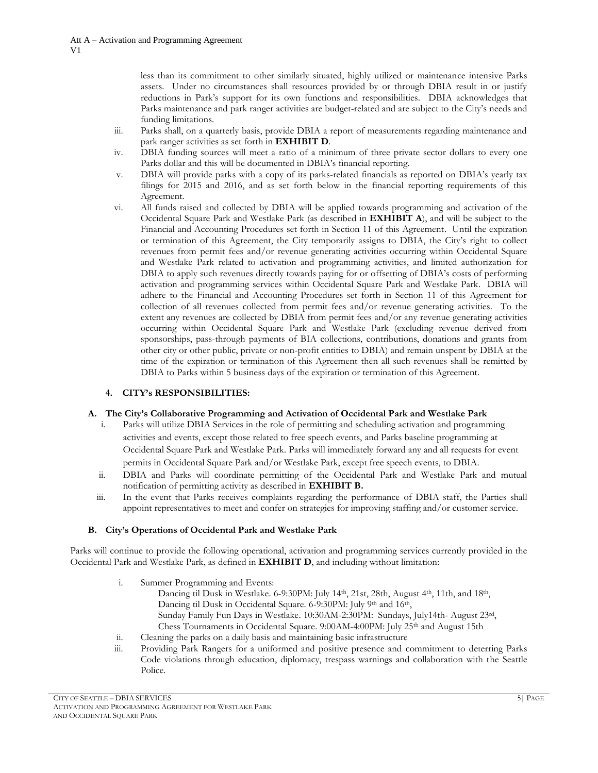less than its commitment to other similarly situated, highly utilized or maintenance intensive Parks assets. Under no circumstances shall resources provided by or through DBIA result in or justify reductions in Park's support for its own functions and responsibilities. DBIA acknowledges that Parks maintenance and park ranger activities are budget-related and are subject to the City's needs and funding limitations.

- iii. Parks shall, on a quarterly basis, provide DBIA a report of measurements regarding maintenance and park ranger activities as set forth in **EXHIBIT D**.
- iv. DBIA funding sources will meet a ratio of a minimum of three private sector dollars to every one Parks dollar and this will be documented in DBIA's financial reporting.
- v. DBIA will provide parks with a copy of its parks-related financials as reported on DBIA's yearly tax filings for 2015 and 2016, and as set forth below in the financial reporting requirements of this Agreement.
- vi. All funds raised and collected by DBIA will be applied towards programming and activation of the Occidental Square Park and Westlake Park (as described in **EXHIBIT A**), and will be subject to the Financial and Accounting Procedures set forth in Section 11 of this Agreement. Until the expiration or termination of this Agreement, the City temporarily assigns to DBIA, the City's right to collect revenues from permit fees and/or revenue generating activities occurring within Occidental Square and Westlake Park related to activation and programming activities, and limited authorization for DBIA to apply such revenues directly towards paying for or offsetting of DBIA's costs of performing activation and programming services within Occidental Square Park and Westlake Park. DBIA will adhere to the Financial and Accounting Procedures set forth in Section 11 of this Agreement for collection of all revenues collected from permit fees and/or revenue generating activities. To the extent any revenues are collected by DBIA from permit fees and/or any revenue generating activities occurring within Occidental Square Park and Westlake Park (excluding revenue derived from sponsorships, pass-through payments of BIA collections, contributions, donations and grants from other city or other public, private or non-profit entities to DBIA) and remain unspent by DBIA at the time of the expiration or termination of this Agreement then all such revenues shall be remitted by DBIA to Parks within 5 business days of the expiration or termination of this Agreement.

# **4. CITY's RESPONSIBILITIES:**

# **A. The City's Collaborative Programming and Activation of Occidental Park and Westlake Park**

- i. Parks will utilize DBIA Services in the role of permitting and scheduling activation and programming activities and events, except those related to free speech events, and Parks baseline programming at Occidental Square Park and Westlake Park. Parks will immediately forward any and all requests for event permits in Occidental Square Park and/or Westlake Park, except free speech events, to DBIA.
- ii. DBIA and Parks will coordinate permitting of the Occidental Park and Westlake Park and mutual notification of permitting activity as described in **EXHIBIT B.**
- iii. In the event that Parks receives complaints regarding the performance of DBIA staff, the Parties shall appoint representatives to meet and confer on strategies for improving staffing and/or customer service.

# **B. City's Operations of Occidental Park and Westlake Park**

Parks will continue to provide the following operational, activation and programming services currently provided in the Occidental Park and Westlake Park, as defined in **EXHIBIT D**, and including without limitation:

- i. Summer Programming and Events:
	- Dancing til Dusk in Westlake. 6-9:30PM: July 14th, 21st, 28th, August 4th, 11th, and 18th, Dancing til Dusk in Occidental Square. 6-9:30PM: July 9th and 16th, Sunday Family Fun Days in Westlake. 10:30AM-2:30PM: Sundays, July14th- August 23rd, Chess Tournaments in Occidental Square. 9:00AM-4:00PM: July 25th and August 15th
- ii. Cleaning the parks on a daily basis and maintaining basic infrastructure
- iii. Providing Park Rangers for a uniformed and positive presence and commitment to deterring Parks Code violations through education, diplomacy, trespass warnings and collaboration with the Seattle Police.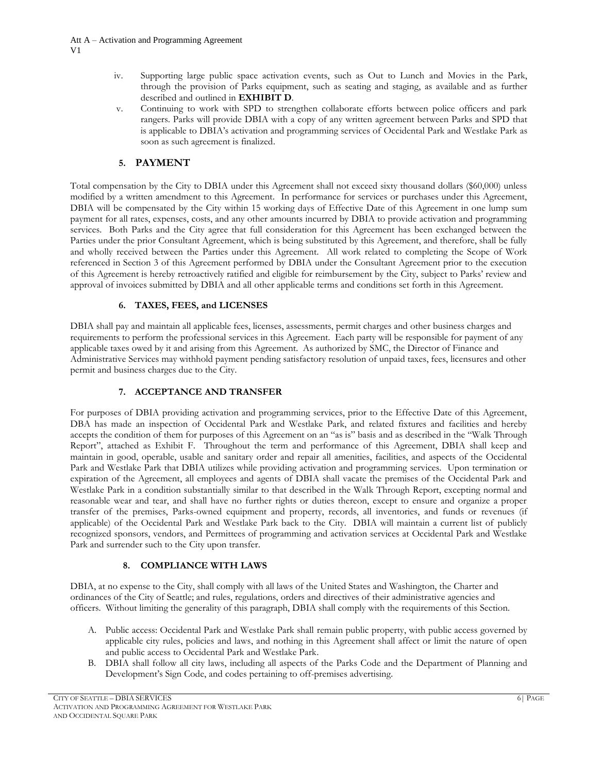- iv. Supporting large public space activation events, such as Out to Lunch and Movies in the Park, through the provision of Parks equipment, such as seating and staging, as available and as further described and outlined in **EXHIBIT D**.
- v. Continuing to work with SPD to strengthen collaborate efforts between police officers and park rangers. Parks will provide DBIA with a copy of any written agreement between Parks and SPD that is applicable to DBIA's activation and programming services of Occidental Park and Westlake Park as soon as such agreement is finalized.

# **5. PAYMENT**

Total compensation by the City to DBIA under this Agreement shall not exceed sixty thousand dollars (\$60,000) unless modified by a written amendment to this Agreement. In performance for services or purchases under this Agreement, DBIA will be compensated by the City within 15 working days of Effective Date of this Agreement in one lump sum payment for all rates, expenses, costs, and any other amounts incurred by DBIA to provide activation and programming services. Both Parks and the City agree that full consideration for this Agreement has been exchanged between the Parties under the prior Consultant Agreement, which is being substituted by this Agreement, and therefore, shall be fully and wholly received between the Parties under this Agreement. All work related to completing the Scope of Work referenced in Section 3 of this Agreement performed by DBIA under the Consultant Agreement prior to the execution of this Agreement is hereby retroactively ratified and eligible for reimbursement by the City, subject to Parks' review and approval of invoices submitted by DBIA and all other applicable terms and conditions set forth in this Agreement.

# **6. TAXES, FEES, and LICENSES**

DBIA shall pay and maintain all applicable fees, licenses, assessments, permit charges and other business charges and requirements to perform the professional services in this Agreement. Each party will be responsible for payment of any applicable taxes owed by it and arising from this Agreement. As authorized by SMC, the Director of Finance and Administrative Services may withhold payment pending satisfactory resolution of unpaid taxes, fees, licensures and other permit and business charges due to the City.

# **7. ACCEPTANCE AND TRANSFER**

For purposes of DBIA providing activation and programming services, prior to the Effective Date of this Agreement, DBA has made an inspection of Occidental Park and Westlake Park, and related fixtures and facilities and hereby accepts the condition of them for purposes of this Agreement on an "as is" basis and as described in the "Walk Through Report", attached as Exhibit F. Throughout the term and performance of this Agreement, DBIA shall keep and maintain in good, operable, usable and sanitary order and repair all amenities, facilities, and aspects of the Occidental Park and Westlake Park that DBIA utilizes while providing activation and programming services. Upon termination or expiration of the Agreement, all employees and agents of DBIA shall vacate the premises of the Occidental Park and Westlake Park in a condition substantially similar to that described in the Walk Through Report, excepting normal and reasonable wear and tear, and shall have no further rights or duties thereon, except to ensure and organize a proper transfer of the premises, Parks-owned equipment and property, records, all inventories, and funds or revenues (if applicable) of the Occidental Park and Westlake Park back to the City. DBIA will maintain a current list of publicly recognized sponsors, vendors, and Permittees of programming and activation services at Occidental Park and Westlake Park and surrender such to the City upon transfer.

# **8. COMPLIANCE WITH LAWS**

DBIA, at no expense to the City, shall comply with all laws of the United States and Washington, the Charter and ordinances of the City of Seattle; and rules, regulations, orders and directives of their administrative agencies and officers. Without limiting the generality of this paragraph, DBIA shall comply with the requirements of this Section.

- A. Public access: Occidental Park and Westlake Park shall remain public property, with public access governed by applicable city rules, policies and laws, and nothing in this Agreement shall affect or limit the nature of open and public access to Occidental Park and Westlake Park.
- B. DBIA shall follow all city laws, including all aspects of the Parks Code and the Department of Planning and Development's Sign Code, and codes pertaining to off-premises advertising.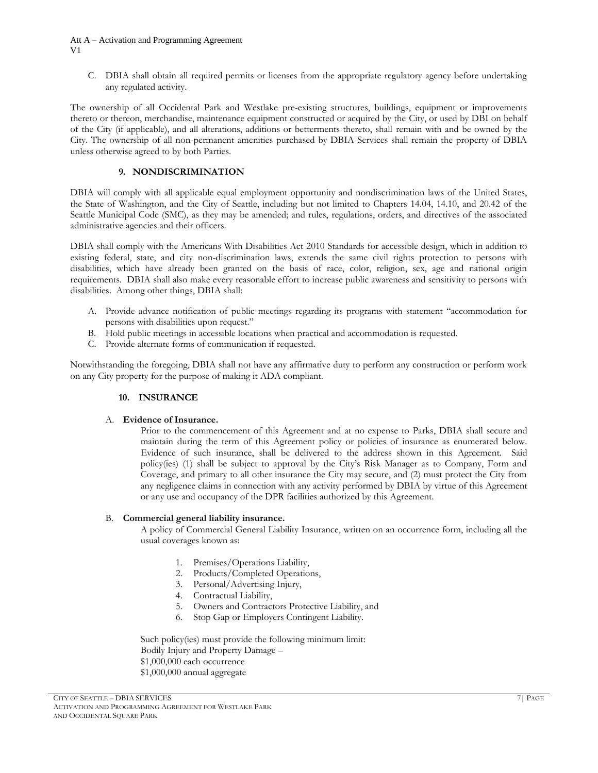#### Att A – Activation and Programming Agreement V1

C. DBIA shall obtain all required permits or licenses from the appropriate regulatory agency before undertaking any regulated activity.

The ownership of all Occidental Park and Westlake pre-existing structures, buildings, equipment or improvements thereto or thereon, merchandise, maintenance equipment constructed or acquired by the City, or used by DBI on behalf of the City (if applicable), and all alterations, additions or betterments thereto, shall remain with and be owned by the City. The ownership of all non-permanent amenities purchased by DBIA Services shall remain the property of DBIA unless otherwise agreed to by both Parties.

# **9. NONDISCRIMINATION**

DBIA will comply with all applicable equal employment opportunity and nondiscrimination laws of the United States, the State of Washington, and the City of Seattle, including but not limited to Chapters 14.04, 14.10, and 20.42 of the Seattle Municipal Code (SMC), as they may be amended; and rules, regulations, orders, and directives of the associated administrative agencies and their officers.

DBIA shall comply with the Americans With Disabilities Act 2010 Standards for accessible design, which in addition to existing federal, state, and city non-discrimination laws, extends the same civil rights protection to persons with disabilities, which have already been granted on the basis of race, color, religion, sex, age and national origin requirements. DBIA shall also make every reasonable effort to increase public awareness and sensitivity to persons with disabilities. Among other things, DBIA shall:

- A. Provide advance notification of public meetings regarding its programs with statement "accommodation for persons with disabilities upon request."
- B. Hold public meetings in accessible locations when practical and accommodation is requested.
- C. Provide alternate forms of communication if requested.

Notwithstanding the foregoing, DBIA shall not have any affirmative duty to perform any construction or perform work on any City property for the purpose of making it ADA compliant.

# **10. INSURANCE**

# A. **Evidence of Insurance.**

Prior to the commencement of this Agreement and at no expense to Parks, DBIA shall secure and maintain during the term of this Agreement policy or policies of insurance as enumerated below. Evidence of such insurance, shall be delivered to the address shown in this Agreement. Said policy(ies) (1) shall be subject to approval by the City's Risk Manager as to Company, Form and Coverage, and primary to all other insurance the City may secure, and (2) must protect the City from any negligence claims in connection with any activity performed by DBIA by virtue of this Agreement or any use and occupancy of the DPR facilities authorized by this Agreement.

# B. **Commercial general liability insurance.**

A policy of Commercial General Liability Insurance, written on an occurrence form, including all the usual coverages known as:

- 1. Premises/Operations Liability,
- 2. Products/Completed Operations,
- 3. Personal/Advertising Injury,
- 4. Contractual Liability,
- 5. Owners and Contractors Protective Liability, and
- 6. Stop Gap or Employers Contingent Liability.

Such policy(ies) must provide the following minimum limit: Bodily Injury and Property Damage – \$1,000,000 each occurrence \$1,000,000 annual aggregate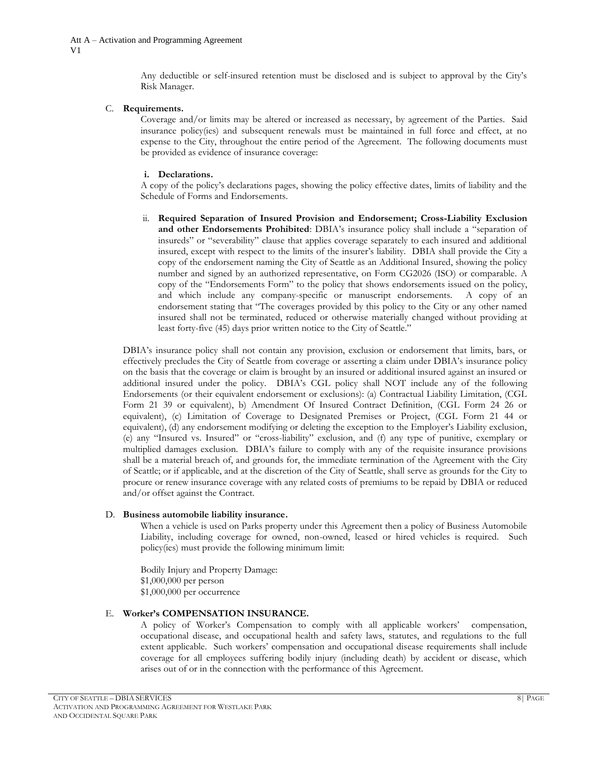Any deductible or self-insured retention must be disclosed and is subject to approval by the City's Risk Manager.

#### C. **Requirements.**

Coverage and/or limits may be altered or increased as necessary, by agreement of the Parties. Said insurance policy(ies) and subsequent renewals must be maintained in full force and effect, at no expense to the City, throughout the entire period of the Agreement. The following documents must be provided as evidence of insurance coverage:

## **i. Declarations.**

A copy of the policy's declarations pages, showing the policy effective dates, limits of liability and the Schedule of Forms and Endorsements.

ii. **Required Separation of Insured Provision and Endorsement; Cross-Liability Exclusion and other Endorsements Prohibited**: DBIA's insurance policy shall include a "separation of insureds" or "severability" clause that applies coverage separately to each insured and additional insured, except with respect to the limits of the insurer's liability. DBIA shall provide the City a copy of the endorsement naming the City of Seattle as an Additional Insured, showing the policy number and signed by an authorized representative, on Form CG2026 (ISO) or comparable. A copy of the "Endorsements Form" to the policy that shows endorsements issued on the policy, and which include any company-specific or manuscript endorsements. A copy of an endorsement stating that "The coverages provided by this policy to the City or any other named insured shall not be terminated, reduced or otherwise materially changed without providing at least forty-five (45) days prior written notice to the City of Seattle."

DBIA's insurance policy shall not contain any provision, exclusion or endorsement that limits, bars, or effectively precludes the City of Seattle from coverage or asserting a claim under DBIA's insurance policy on the basis that the coverage or claim is brought by an insured or additional insured against an insured or additional insured under the policy. DBIA's CGL policy shall NOT include any of the following Endorsements (or their equivalent endorsement or exclusions): (a) Contractual Liability Limitation, (CGL Form 21 39 or equivalent), b) Amendment Of Insured Contract Definition, (CGL Form 24 26 or equivalent), (c) Limitation of Coverage to Designated Premises or Project, (CGL Form 21 44 or equivalent), (d) any endorsement modifying or deleting the exception to the Employer's Liability exclusion, (e) any "Insured vs. Insured" or "cross-liability" exclusion, and (f) any type of punitive, exemplary or multiplied damages exclusion. DBIA's failure to comply with any of the requisite insurance provisions shall be a material breach of, and grounds for, the immediate termination of the Agreement with the City of Seattle; or if applicable, and at the discretion of the City of Seattle, shall serve as grounds for the City to procure or renew insurance coverage with any related costs of premiums to be repaid by DBIA or reduced and/or offset against the Contract.

#### D. **Business automobile liability insurance.**

When a vehicle is used on Parks property under this Agreement then a policy of Business Automobile Liability, including coverage for owned, non-owned, leased or hired vehicles is required. Such policy(ies) must provide the following minimum limit:

Bodily Injury and Property Damage: \$1,000,000 per person \$1,000,000 per occurrence

#### E. **Worker's COMPENSATION INSURANCE.**

A policy of Worker's Compensation to comply with all applicable workers' compensation, occupational disease, and occupational health and safety laws, statutes, and regulations to the full extent applicable. Such workers' compensation and occupational disease requirements shall include coverage for all employees suffering bodily injury (including death) by accident or disease, which arises out of or in the connection with the performance of this Agreement.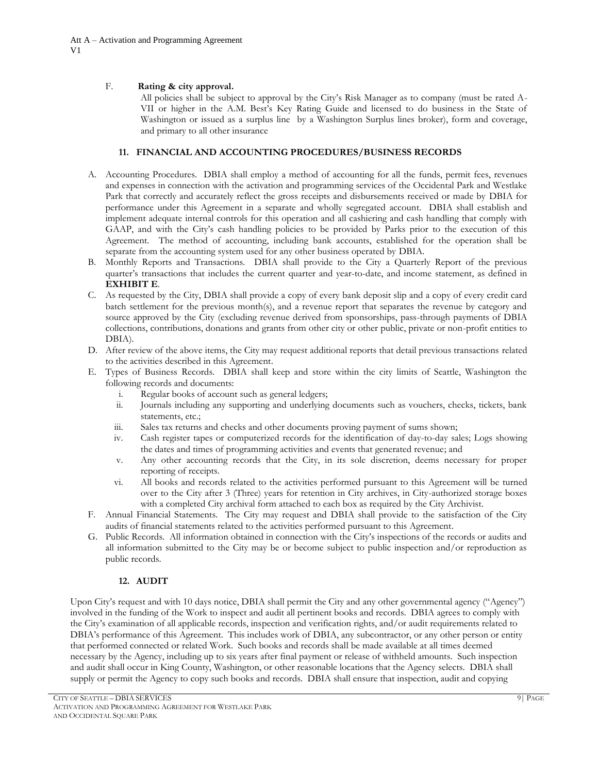# F. **Rating & city approval.**

All policies shall be subject to approval by the City's Risk Manager as to company (must be rated A-VII or higher in the A.M. Best's Key Rating Guide and licensed to do business in the State of Washington or issued as a surplus line by a Washington Surplus lines broker), form and coverage, and primary to all other insurance

# **11. FINANCIAL AND ACCOUNTING PROCEDURES/BUSINESS RECORDS**

- A. Accounting Procedures. DBIA shall employ a method of accounting for all the funds, permit fees, revenues and expenses in connection with the activation and programming services of the Occidental Park and Westlake Park that correctly and accurately reflect the gross receipts and disbursements received or made by DBIA for performance under this Agreement in a separate and wholly segregated account. DBIA shall establish and implement adequate internal controls for this operation and all cashiering and cash handling that comply with GAAP, and with the City's cash handling policies to be provided by Parks prior to the execution of this Agreement. The method of accounting, including bank accounts, established for the operation shall be separate from the accounting system used for any other business operated by DBIA.
- B. Monthly Reports and Transactions. DBIA shall provide to the City a Quarterly Report of the previous quarter's transactions that includes the current quarter and year-to-date, and income statement, as defined in **EXHIBIT E**.
- C. As requested by the City, DBIA shall provide a copy of every bank deposit slip and a copy of every credit card batch settlement for the previous month(s), and a revenue report that separates the revenue by category and source approved by the City (excluding revenue derived from sponsorships, pass-through payments of DBIA collections, contributions, donations and grants from other city or other public, private or non-profit entities to DBIA).
- D. After review of the above items, the City may request additional reports that detail previous transactions related to the activities described in this Agreement.
- E. Types of Business Records. DBIA shall keep and store within the city limits of Seattle, Washington the following records and documents:
	- i. Regular books of account such as general ledgers;
	- ii. Journals including any supporting and underlying documents such as vouchers, checks, tickets, bank statements, etc.;
	- iii. Sales tax returns and checks and other documents proving payment of sums shown;
	- iv. Cash register tapes or computerized records for the identification of day-to-day sales; Logs showing the dates and times of programming activities and events that generated revenue; and
	- v. Any other accounting records that the City, in its sole discretion, deems necessary for proper reporting of receipts.
	- vi. All books and records related to the activities performed pursuant to this Agreement will be turned over to the City after 3 (Three) years for retention in City archives, in City-authorized storage boxes with a completed City archival form attached to each box as required by the City Archivist.
- F. Annual Financial Statements. The City may request and DBIA shall provide to the satisfaction of the City audits of financial statements related to the activities performed pursuant to this Agreement.
- G. Public Records. All information obtained in connection with the City's inspections of the records or audits and all information submitted to the City may be or become subject to public inspection and/or reproduction as public records.

# **12. AUDIT**

Upon City's request and with 10 days notice, DBIA shall permit the City and any other governmental agency ("Agency") involved in the funding of the Work to inspect and audit all pertinent books and records. DBIA agrees to comply with the City's examination of all applicable records, inspection and verification rights, and/or audit requirements related to DBIA's performance of this Agreement. This includes work of DBIA, any subcontractor, or any other person or entity that performed connected or related Work. Such books and records shall be made available at all times deemed necessary by the Agency, including up to six years after final payment or release of withheld amounts. Such inspection and audit shall occur in King County, Washington, or other reasonable locations that the Agency selects. DBIA shall supply or permit the Agency to copy such books and records. DBIA shall ensure that inspection, audit and copying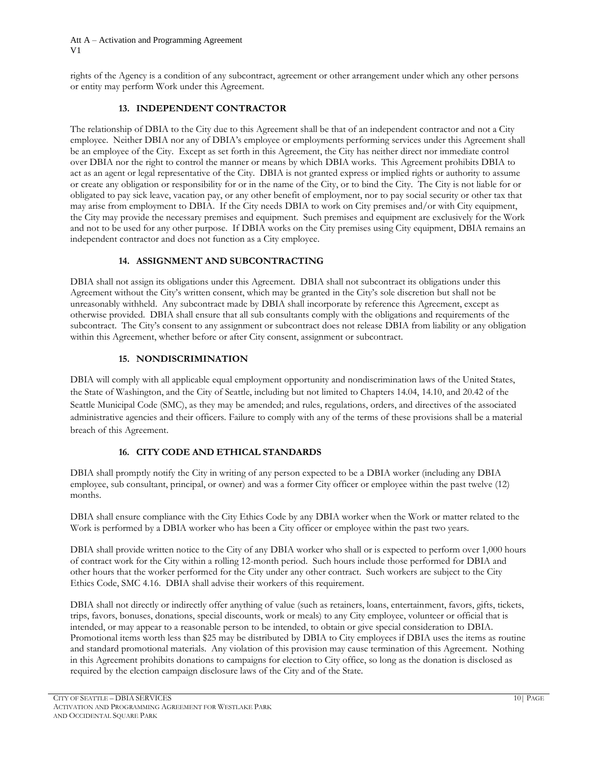rights of the Agency is a condition of any subcontract, agreement or other arrangement under which any other persons or entity may perform Work under this Agreement.

# **13. INDEPENDENT CONTRACTOR**

The relationship of DBIA to the City due to this Agreement shall be that of an independent contractor and not a City employee. Neither DBIA nor any of DBIA's employee or employments performing services under this Agreement shall be an employee of the City. Except as set forth in this Agreement, the City has neither direct nor immediate control over DBIA nor the right to control the manner or means by which DBIA works. This Agreement prohibits DBIA to act as an agent or legal representative of the City. DBIA is not granted express or implied rights or authority to assume or create any obligation or responsibility for or in the name of the City, or to bind the City. The City is not liable for or obligated to pay sick leave, vacation pay, or any other benefit of employment, nor to pay social security or other tax that may arise from employment to DBIA. If the City needs DBIA to work on City premises and/or with City equipment, the City may provide the necessary premises and equipment. Such premises and equipment are exclusively for the Work and not to be used for any other purpose. If DBIA works on the City premises using City equipment, DBIA remains an independent contractor and does not function as a City employee.

# **14. ASSIGNMENT AND SUBCONTRACTING**

DBIA shall not assign its obligations under this Agreement. DBIA shall not subcontract its obligations under this Agreement without the City's written consent, which may be granted in the City's sole discretion but shall not be unreasonably withheld. Any subcontract made by DBIA shall incorporate by reference this Agreement, except as otherwise provided. DBIA shall ensure that all sub consultants comply with the obligations and requirements of the subcontract. The City's consent to any assignment or subcontract does not release DBIA from liability or any obligation within this Agreement, whether before or after City consent, assignment or subcontract.

# **15. NONDISCRIMINATION**

DBIA will comply with all applicable equal employment opportunity and nondiscrimination laws of the United States, the State of Washington, and the City of Seattle, including but not limited to Chapters 14.04, 14.10, and 20.42 of the Seattle Municipal Code (SMC), as they may be amended; and rules, regulations, orders, and directives of the associated administrative agencies and their officers. Failure to comply with any of the terms of these provisions shall be a material breach of this Agreement.

# **16. CITY CODE AND ETHICAL STANDARDS**

DBIA shall promptly notify the City in writing of any person expected to be a DBIA worker (including any DBIA employee, sub consultant, principal, or owner) and was a former City officer or employee within the past twelve (12) months.

DBIA shall ensure compliance with the City Ethics Code by any DBIA worker when the Work or matter related to the Work is performed by a DBIA worker who has been a City officer or employee within the past two years.

DBIA shall provide written notice to the City of any DBIA worker who shall or is expected to perform over 1,000 hours of contract work for the City within a rolling 12-month period. Such hours include those performed for DBIA and other hours that the worker performed for the City under any other contract. Such workers are subject to the City Ethics Code, SMC 4.16. DBIA shall advise their workers of this requirement.

DBIA shall not directly or indirectly offer anything of value (such as retainers, loans, entertainment, favors, gifts, tickets, trips, favors, bonuses, donations, special discounts, work or meals) to any City employee, volunteer or official that is intended, or may appear to a reasonable person to be intended, to obtain or give special consideration to DBIA. Promotional items worth less than \$25 may be distributed by DBIA to City employees if DBIA uses the items as routine and standard promotional materials. Any violation of this provision may cause termination of this Agreement. Nothing in this Agreement prohibits donations to campaigns for election to City office, so long as the donation is disclosed as required by the election campaign disclosure laws of the City and of the State.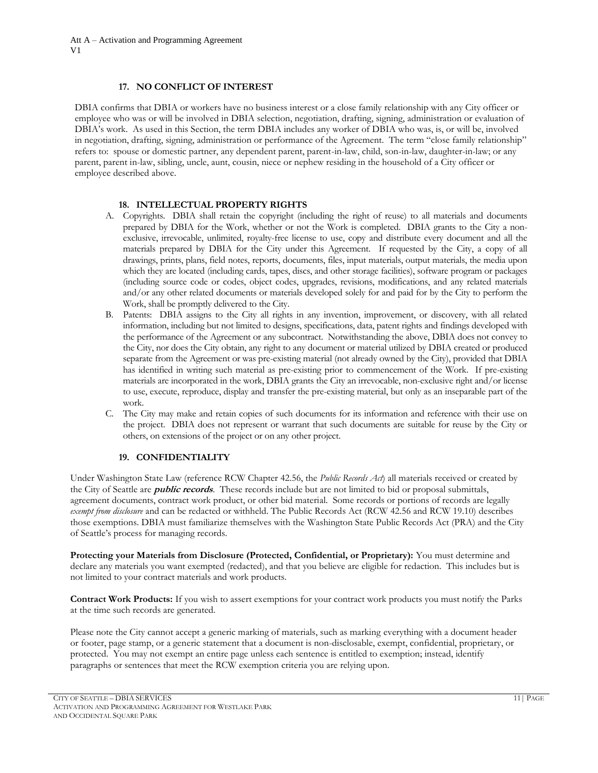## **17. NO CONFLICT OF INTEREST**

DBIA confirms that DBIA or workers have no business interest or a close family relationship with any City officer or employee who was or will be involved in DBIA selection, negotiation, drafting, signing, administration or evaluation of DBIA's work. As used in this Section, the term DBIA includes any worker of DBIA who was, is, or will be, involved in negotiation, drafting, signing, administration or performance of the Agreement. The term "close family relationship" refers to: spouse or domestic partner, any dependent parent, parent-in-law, child, son-in-law, daughter-in-law; or any parent, parent in-law, sibling, uncle, aunt, cousin, niece or nephew residing in the household of a City officer or employee described above.

#### **18. INTELLECTUAL PROPERTY RIGHTS**

- A. Copyrights. DBIA shall retain the copyright (including the right of reuse) to all materials and documents prepared by DBIA for the Work, whether or not the Work is completed. DBIA grants to the City a nonexclusive, irrevocable, unlimited, royalty-free license to use, copy and distribute every document and all the materials prepared by DBIA for the City under this Agreement. If requested by the City, a copy of all drawings, prints, plans, field notes, reports, documents, files, input materials, output materials, the media upon which they are located (including cards, tapes, discs, and other storage facilities), software program or packages (including source code or codes, object codes, upgrades, revisions, modifications, and any related materials and/or any other related documents or materials developed solely for and paid for by the City to perform the Work, shall be promptly delivered to the City.
- B. Patents: DBIA assigns to the City all rights in any invention, improvement, or discovery, with all related information, including but not limited to designs, specifications, data, patent rights and findings developed with the performance of the Agreement or any subcontract. Notwithstanding the above, DBIA does not convey to the City, nor does the City obtain, any right to any document or material utilized by DBIA created or produced separate from the Agreement or was pre-existing material (not already owned by the City), provided that DBIA has identified in writing such material as pre-existing prior to commencement of the Work. If pre-existing materials are incorporated in the work, DBIA grants the City an irrevocable, non-exclusive right and/or license to use, execute, reproduce, display and transfer the pre-existing material, but only as an inseparable part of the work.
- C. The City may make and retain copies of such documents for its information and reference with their use on the project. DBIA does not represent or warrant that such documents are suitable for reuse by the City or others, on extensions of the project or on any other project.

# **19. CONFIDENTIALITY**

Under Washington State Law (reference RCW Chapter 42.56, the *Public Records Act*) all materials received or created by the City of Seattle are **public records**. These records include but are not limited to bid or proposal submittals, agreement documents, contract work product, or other bid material. Some records or portions of records are legally *exempt from disclosure* and can be redacted or withheld. The Public Records Act (RCW 42.56 and RCW 19.10) describes those exemptions. DBIA must familiarize themselves with the Washington State Public Records Act (PRA) and the City of Seattle's process for managing records.

**Protecting your Materials from Disclosure (Protected, Confidential, or Proprietary):** You must determine and declare any materials you want exempted (redacted), and that you believe are eligible for redaction. This includes but is not limited to your contract materials and work products.

**Contract Work Products:** If you wish to assert exemptions for your contract work products you must notify the Parks at the time such records are generated.

Please note the City cannot accept a generic marking of materials, such as marking everything with a document header or footer, page stamp, or a generic statement that a document is non-disclosable, exempt, confidential, proprietary, or protected. You may not exempt an entire page unless each sentence is entitled to exemption; instead, identify paragraphs or sentences that meet the RCW exemption criteria you are relying upon.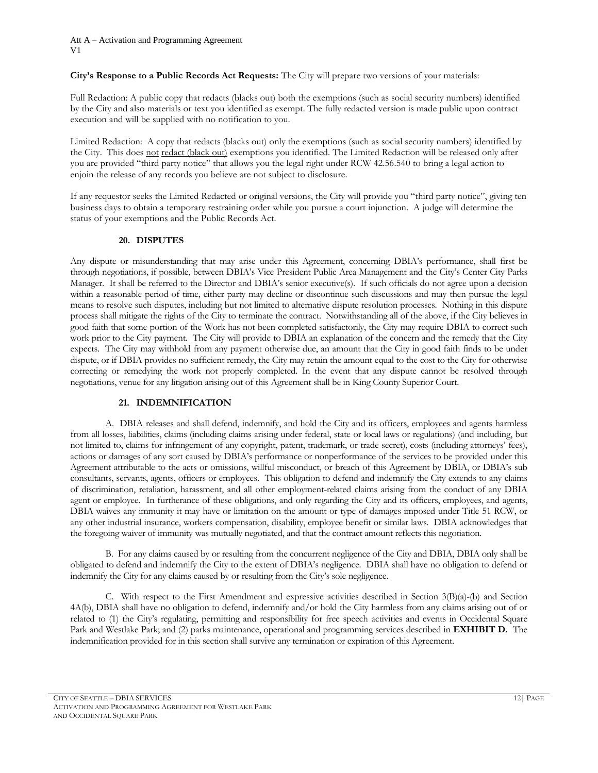## **City's Response to a Public Records Act Requests:** The City will prepare two versions of your materials:

Full Redaction: A public copy that redacts (blacks out) both the exemptions (such as social security numbers) identified by the City and also materials or text you identified as exempt. The fully redacted version is made public upon contract execution and will be supplied with no notification to you.

Limited Redaction: A copy that redacts (blacks out) only the exemptions (such as social security numbers) identified by the City. This does not redact (black out) exemptions you identified. The Limited Redaction will be released only after you are provided "third party notice" that allows you the legal right under RCW 42.56.540 to bring a legal action to enjoin the release of any records you believe are not subject to disclosure.

If any requestor seeks the Limited Redacted or original versions, the City will provide you "third party notice", giving ten business days to obtain a temporary restraining order while you pursue a court injunction. A judge will determine the status of your exemptions and the Public Records Act.

## **20. DISPUTES**

Any dispute or misunderstanding that may arise under this Agreement, concerning DBIA's performance, shall first be through negotiations, if possible, between DBIA's Vice President Public Area Management and the City's Center City Parks Manager. It shall be referred to the Director and DBIA's senior executive(s). If such officials do not agree upon a decision within a reasonable period of time, either party may decline or discontinue such discussions and may then pursue the legal means to resolve such disputes, including but not limited to alternative dispute resolution processes. Nothing in this dispute process shall mitigate the rights of the City to terminate the contract. Notwithstanding all of the above, if the City believes in good faith that some portion of the Work has not been completed satisfactorily, the City may require DBIA to correct such work prior to the City payment. The City will provide to DBIA an explanation of the concern and the remedy that the City expects. The City may withhold from any payment otherwise due, an amount that the City in good faith finds to be under dispute, or if DBIA provides no sufficient remedy, the City may retain the amount equal to the cost to the City for otherwise correcting or remedying the work not properly completed. In the event that any dispute cannot be resolved through negotiations, venue for any litigation arising out of this Agreement shall be in King County Superior Court.

# **21. INDEMNIFICATION**

A. DBIA releases and shall defend, indemnify, and hold the City and its officers, employees and agents harmless from all losses, liabilities, claims (including claims arising under federal, state or local laws or regulations) (and including, but not limited to, claims for infringement of any copyright, patent, trademark, or trade secret), costs (including attorneys' fees), actions or damages of any sort caused by DBIA's performance or nonperformance of the services to be provided under this Agreement attributable to the acts or omissions, willful misconduct, or breach of this Agreement by DBIA, or DBIA's sub consultants, servants, agents, officers or employees. This obligation to defend and indemnify the City extends to any claims of discrimination, retaliation, harassment, and all other employment-related claims arising from the conduct of any DBIA agent or employee. In furtherance of these obligations, and only regarding the City and its officers, employees, and agents, DBIA waives any immunity it may have or limitation on the amount or type of damages imposed under Title 51 RCW, or any other industrial insurance, workers compensation, disability, employee benefit or similar laws. DBIA acknowledges that the foregoing waiver of immunity was mutually negotiated, and that the contract amount reflects this negotiation.

B. For any claims caused by or resulting from the concurrent negligence of the City and DBIA, DBIA only shall be obligated to defend and indemnify the City to the extent of DBIA's negligence. DBIA shall have no obligation to defend or indemnify the City for any claims caused by or resulting from the City's sole negligence.

C. With respect to the First Amendment and expressive activities described in Section 3(B)(a)-(b) and Section 4A(b), DBIA shall have no obligation to defend, indemnify and/or hold the City harmless from any claims arising out of or related to (1) the City's regulating, permitting and responsibility for free speech activities and events in Occidental Square Park and Westlake Park; and (2) parks maintenance, operational and programming services described in **EXHIBIT D.** The indemnification provided for in this section shall survive any termination or expiration of this Agreement.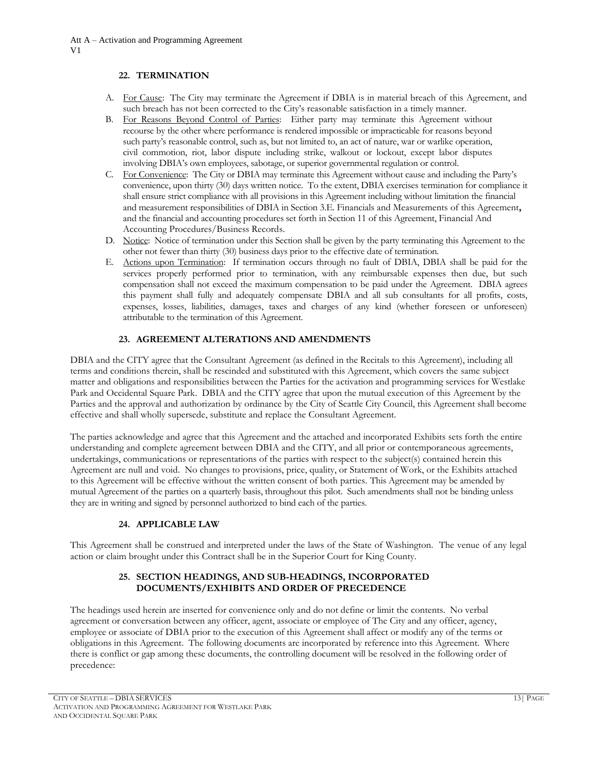## **22. TERMINATION**

- A. For Cause: The City may terminate the Agreement if DBIA is in material breach of this Agreement, and such breach has not been corrected to the City's reasonable satisfaction in a timely manner.
- B. For Reasons Beyond Control of Parties: Either party may terminate this Agreement without recourse by the other where performance is rendered impossible or impracticable for reasons beyond such party's reasonable control, such as, but not limited to, an act of nature, war or warlike operation, civil commotion, riot, labor dispute including strike, walkout or lockout, except labor disputes involving DBIA's own employees, sabotage, or superior governmental regulation or control.
- C. For Convenience: The City or DBIA may terminate this Agreement without cause and including the Party's convenience, upon thirty (30) days written notice. To the extent, DBIA exercises termination for compliance it shall ensure strict compliance with all provisions in this Agreement including without limitation the financial and measurement responsibilities of DBIA in Section 3.E. Financials and Measurements of this Agreement**,**  and the financial and accounting procedures set forth in Section 11 of this Agreement, Financial And Accounting Procedures/Business Records.
- D. Notice: Notice of termination under this Section shall be given by the party terminating this Agreement to the other not fewer than thirty (30) business days prior to the effective date of termination.
- E. Actions upon Termination: If termination occurs through no fault of DBIA, DBIA shall be paid for the services properly performed prior to termination, with any reimbursable expenses then due, but such compensation shall not exceed the maximum compensation to be paid under the Agreement. DBIA agrees this payment shall fully and adequately compensate DBIA and all sub consultants for all profits, costs, expenses, losses, liabilities, damages, taxes and charges of any kind (whether foreseen or unforeseen) attributable to the termination of this Agreement.

# **23. AGREEMENT ALTERATIONS AND AMENDMENTS**

DBIA and the CITY agree that the Consultant Agreement (as defined in the Recitals to this Agreement), including all terms and conditions therein, shall be rescinded and substituted with this Agreement, which covers the same subject matter and obligations and responsibilities between the Parties for the activation and programming services for Westlake Park and Occidental Square Park. DBIA and the CITY agree that upon the mutual execution of this Agreement by the Parties and the approval and authorization by ordinance by the City of Seattle City Council, this Agreement shall become effective and shall wholly supersede, substitute and replace the Consultant Agreement.

The parties acknowledge and agree that this Agreement and the attached and incorporated Exhibits sets forth the entire understanding and complete agreement between DBIA and the CITY, and all prior or contemporaneous agreements, undertakings, communications or representations of the parties with respect to the subject(s) contained herein this Agreement are null and void. No changes to provisions, price, quality, or Statement of Work, or the Exhibits attached to this Agreement will be effective without the written consent of both parties. This Agreement may be amended by mutual Agreement of the parties on a quarterly basis, throughout this pilot. Such amendments shall not be binding unless they are in writing and signed by personnel authorized to bind each of the parties.

# **24. APPLICABLE LAW**

This Agreement shall be construed and interpreted under the laws of the State of Washington. The venue of any legal action or claim brought under this Contract shall be in the Superior Court for King County.

# **25. SECTION HEADINGS, AND SUB-HEADINGS, INCORPORATED DOCUMENTS/EXHIBITS AND ORDER OF PRECEDENCE**

The headings used herein are inserted for convenience only and do not define or limit the contents. No verbal agreement or conversation between any officer, agent, associate or employee of The City and any officer, agency, employee or associate of DBIA prior to the execution of this Agreement shall affect or modify any of the terms or obligations in this Agreement. The following documents are incorporated by reference into this Agreement. Where there is conflict or gap among these documents, the controlling document will be resolved in the following order of precedence: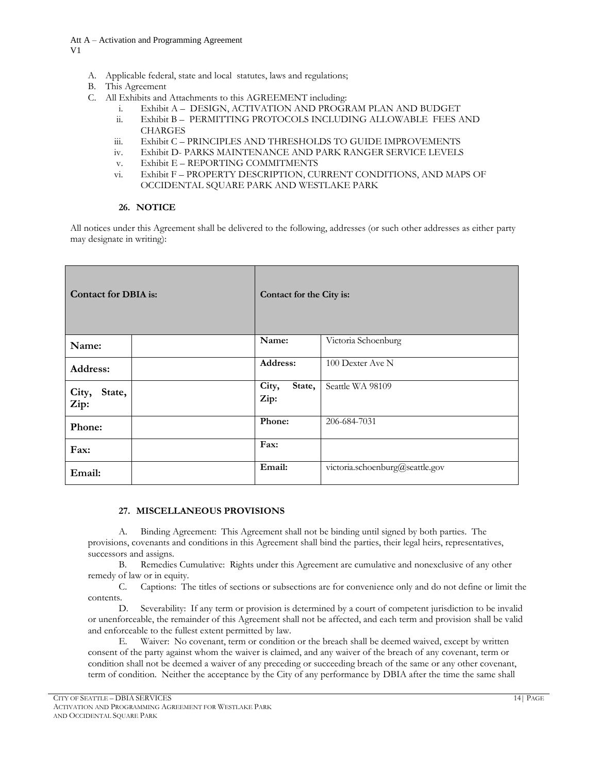- A. Applicable federal, state and local statutes, laws and regulations;
- B. This Agreement
- C. All Exhibits and Attachments to this AGREEMENT including:
	- i. Exhibit A DESIGN, ACTIVATION AND PROGRAM PLAN AND BUDGET
	- ii. Exhibit B PERMITTING PROTOCOLS INCLUDING ALLOWABLE FEES AND **CHARGES**
	- iii. Exhibit C PRINCIPLES AND THRESHOLDS TO GUIDE IMPROVEMENTS
	- iv. Exhibit D- PARKS MAINTENANCE AND PARK RANGER SERVICE LEVELS
	- v. Exhibit E REPORTING COMMITMENTS
	- vi. Exhibit F PROPERTY DESCRIPTION, CURRENT CONDITIONS, AND MAPS OF OCCIDENTAL SQUARE PARK AND WESTLAKE PARK

# **26. NOTICE**

All notices under this Agreement shall be delivered to the following, addresses (or such other addresses as either party may designate in writing):

| <b>Contact for DBIA</b> is: |  | Contact for the City is: |                                 |
|-----------------------------|--|--------------------------|---------------------------------|
| Name:                       |  | Name:                    | Victoria Schoenburg             |
| Address:                    |  | Address:                 | 100 Dexter Ave N                |
| State,<br>City,<br>Zip:     |  | City,<br>State,<br>Zip:  | Seattle WA 98109                |
| Phone:                      |  | Phone:                   | 206-684-7031                    |
| Fax:                        |  | Fax:                     |                                 |
| Email:                      |  | Email:                   | victoria.schoenburg@seattle.gov |

# **27. MISCELLANEOUS PROVISIONS**

A. Binding Agreement: This Agreement shall not be binding until signed by both parties. The provisions, covenants and conditions in this Agreement shall bind the parties, their legal heirs, representatives, successors and assigns.

B. Remedies Cumulative: Rights under this Agreement are cumulative and nonexclusive of any other remedy of law or in equity.

C. Captions: The titles of sections or subsections are for convenience only and do not define or limit the contents.

D. Severability: If any term or provision is determined by a court of competent jurisdiction to be invalid or unenforceable, the remainder of this Agreement shall not be affected, and each term and provision shall be valid and enforceable to the fullest extent permitted by law.

E. Waiver: No covenant, term or condition or the breach shall be deemed waived, except by written consent of the party against whom the waiver is claimed, and any waiver of the breach of any covenant, term or condition shall not be deemed a waiver of any preceding or succeeding breach of the same or any other covenant, term of condition. Neither the acceptance by the City of any performance by DBIA after the time the same shall